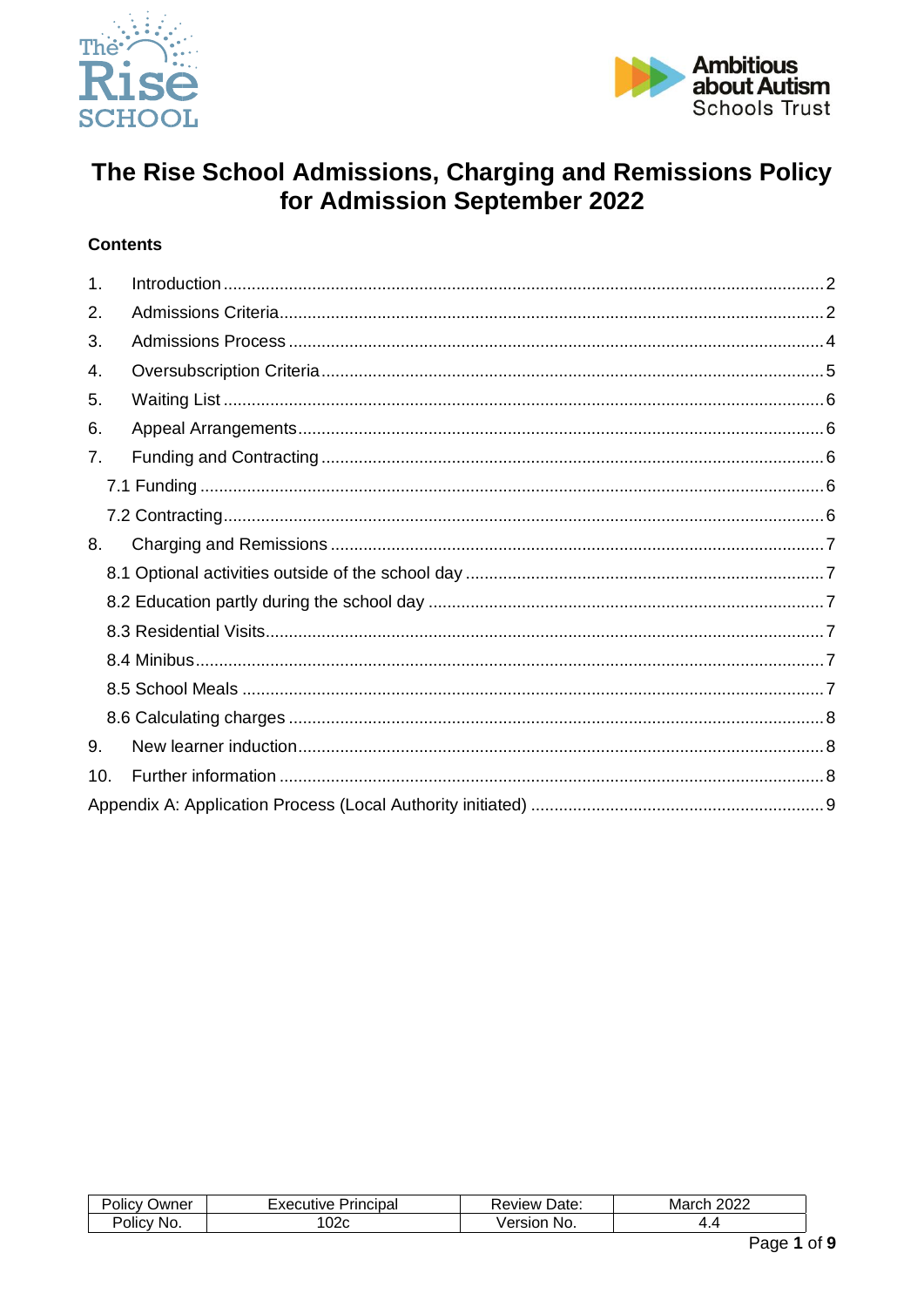



# The Rise School Admissions, Charging and Remissions Policy for Admission September 2022

## **Contents**

| $\mathbf 1$    |  |  |
|----------------|--|--|
| 2.             |  |  |
| 3.             |  |  |
| 4.             |  |  |
| 5.             |  |  |
| 6.             |  |  |
| 7 <sub>1</sub> |  |  |
|                |  |  |
|                |  |  |
| 8.             |  |  |
|                |  |  |
|                |  |  |
|                |  |  |
|                |  |  |
|                |  |  |
|                |  |  |
| 9.             |  |  |
| 10.            |  |  |
|                |  |  |

| $\cdots$<br>שעΩ<br>olic'<br>$\cdot$ $\cdot$ $\cdot$ | Principal<br>ecutive<br>¥ ⊶ | Date:<br>.eview ' | ממ∩מ<br>Marcl<br>.uzz |
|-----------------------------------------------------|-----------------------------|-------------------|-----------------------|
| - -<br>No.<br>'OliC∖                                | $\sim$<br>02c               | .No               |                       |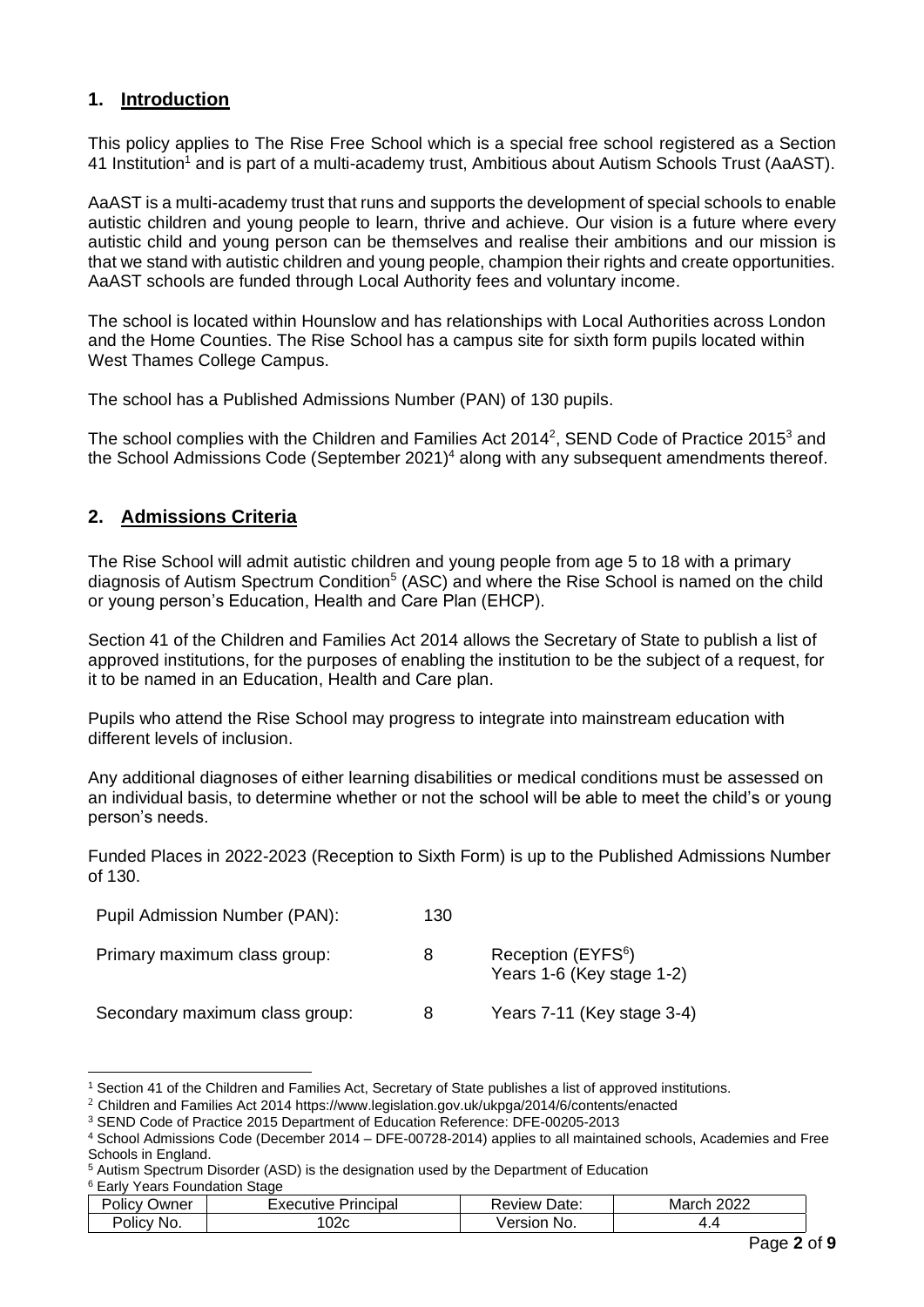#### <span id="page-1-0"></span>**1. Introduction**

This policy applies to The Rise Free School which is a special free school registered as a Section 41 Institution<sup>1</sup> and is part of a multi-academy trust, Ambitious about Autism Schools Trust (AaAST).

AaAST is a multi-academy trust that runs and supports the development of special schools to enable autistic children and young people to learn, thrive and achieve. Our vision is a future where every autistic child and young person can be themselves and realise their ambitions and our mission is that we stand with autistic children and young people, champion their rights and create opportunities. AaAST schools are funded through Local Authority fees and voluntary income.

The school is located within Hounslow and has relationships with Local Authorities across London and the Home Counties. The Rise School has a campus site for sixth form pupils located within West Thames College Campus.

The school has a Published Admissions Number (PAN) of 130 pupils.

The school complies with the Children and Families Act 2014<sup>2</sup>, SEND Code of Practice 2015<sup>3</sup> and the School Admissions Code (September 2021)<sup>4</sup> along with any subsequent amendments thereof.

## <span id="page-1-1"></span>**2. Admissions Criteria**

The Rise School will admit autistic children and young people from age 5 to 18 with a primary diagnosis of Autism Spectrum Condition<sup>5</sup> (ASC) and where the Rise School is named on the child or young person's Education, Health and Care Plan (EHCP).

Section 41 of the Children and Families Act 2014 allows the Secretary of State to publish a list of approved institutions, for the purposes of enabling the institution to be the subject of a request, for it to be named in an Education, Health and Care plan.

Pupils who attend the Rise School may progress to integrate into mainstream education with different levels of inclusion.

Any additional diagnoses of either learning disabilities or medical conditions must be assessed on an individual basis, to determine whether or not the school will be able to meet the child's or young person's needs.

Funded Places in 2022-2023 (Reception to Sixth Form) is up to the Published Admissions Number of 130.

| Pupil Admission Number (PAN):  | 130 |                                                             |
|--------------------------------|-----|-------------------------------------------------------------|
| Primary maximum class group:   | 8   | Reception (EYFS <sup>6</sup> )<br>Years 1-6 (Key stage 1-2) |
| Secondary maximum class group: | 8   | Years 7-11 (Key stage 3-4)                                  |

<sup>1</sup> Section 41 of the Children and Families Act, Secretary of State publishes a list of approved institutions.

<sup>6</sup> Early Years Foundation Stage

| -<br>Jwner<br>OIIC<br>$\sim$ | าcıpaı<br>Prin∟<br>. TIVA. | Date.<br>eview  | ממ∩מ<br>March <sub>a</sub><br>.UZZ |  |
|------------------------------|----------------------------|-----------------|------------------------------------|--|
| NO.<br>JIIC'                 | ◡∠◡                        | ∍rsı∩n<br>- No. |                                    |  |
|                              |                            |                 | the company's company's com-       |  |

<sup>&</sup>lt;sup>2</sup> Children and Families Act 2014 https://www.legislation.gov.uk/ukpga/2014/6/contents/enacted

<sup>3</sup> SEND Code of Practice 2015 Department of Education Reference: DFE-00205-2013

<sup>4</sup> School Admissions Code (December 2014 – DFE-00728-2014) applies to all maintained schools, Academies and Free Schools in England.

<sup>&</sup>lt;sup>5</sup> Autism Spectrum Disorder (ASD) is the designation used by the Department of Education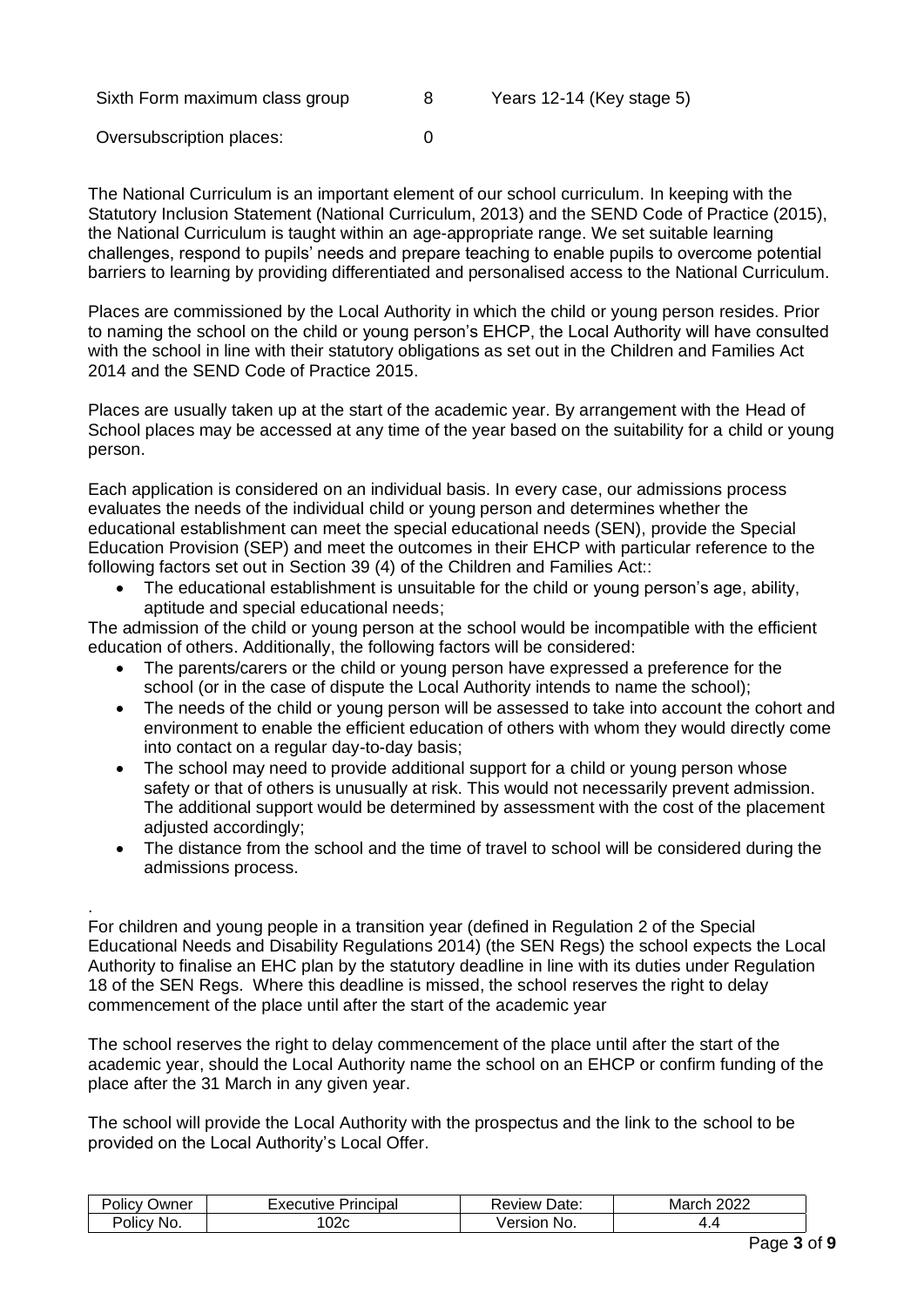Sixth Form maximum class group 8 Years 12-14 (Key stage 5)

Oversubscription places: 0

The National Curriculum is an important element of our school curriculum. In keeping with the Statutory Inclusion Statement (National Curriculum, 2013) and the SEND Code of Practice (2015), the National Curriculum is taught within an age-appropriate range. We set suitable learning challenges, respond to pupils' needs and prepare teaching to enable pupils to overcome potential barriers to learning by providing differentiated and personalised access to the National Curriculum.

Places are commissioned by the Local Authority in which the child or young person resides. Prior to naming the school on the child or young person's EHCP, the Local Authority will have consulted with the school in line with their statutory obligations as set out in the Children and Families Act 2014 and the SEND Code of Practice 2015.

Places are usually taken up at the start of the academic year. By arrangement with the Head of School places may be accessed at any time of the year based on the suitability for a child or young person.

Each application is considered on an individual basis. In every case, our admissions process evaluates the needs of the individual child or young person and determines whether the educational establishment can meet the special educational needs (SEN), provide the Special Education Provision (SEP) and meet the outcomes in their EHCP with particular reference to the following factors set out in Section 39 (4) of the Children and Families Act::

• The educational establishment is unsuitable for the child or young person's age, ability, aptitude and special educational needs;

The admission of the child or young person at the school would be incompatible with the efficient education of others. Additionally, the following factors will be considered:

- The parents/carers or the child or young person have expressed a preference for the school (or in the case of dispute the Local Authority intends to name the school);
- The needs of the child or young person will be assessed to take into account the cohort and environment to enable the efficient education of others with whom they would directly come into contact on a regular day-to-day basis;
- The school may need to provide additional support for a child or young person whose safety or that of others is unusually at risk. This would not necessarily prevent admission. The additional support would be determined by assessment with the cost of the placement adjusted accordingly:
- The distance from the school and the time of travel to school will be considered during the admissions process.

. For children and young people in a transition year (defined in Regulation 2 of the Special Educational Needs and Disability Regulations 2014) (the SEN Regs) the school expects the Local Authority to finalise an EHC plan by the statutory deadline in line with its duties under Regulation 18 of the SEN Regs. Where this deadline is missed, the school reserves the right to delay commencement of the place until after the start of the academic year

The school reserves the right to delay commencement of the place until after the start of the academic year, should the Local Authority name the school on an EHCP or confirm funding of the place after the 31 March in any given year.

The school will provide the Local Authority with the prospectus and the link to the school to be provided on the Local Authority's Local Offer.

| .<br>שwner<br>Olicy | Principa.<br>cutive | Jate:<br>≀eview | 0000<br>ма<br>$\sim$ 2022 $\sim$ |
|---------------------|---------------------|-----------------|----------------------------------|
| NO.                 | ിറ്റപ               | /ersior         | т.                               |
| <b>OIIC</b>         | ັບ∠ປ                | <b>No</b>       |                                  |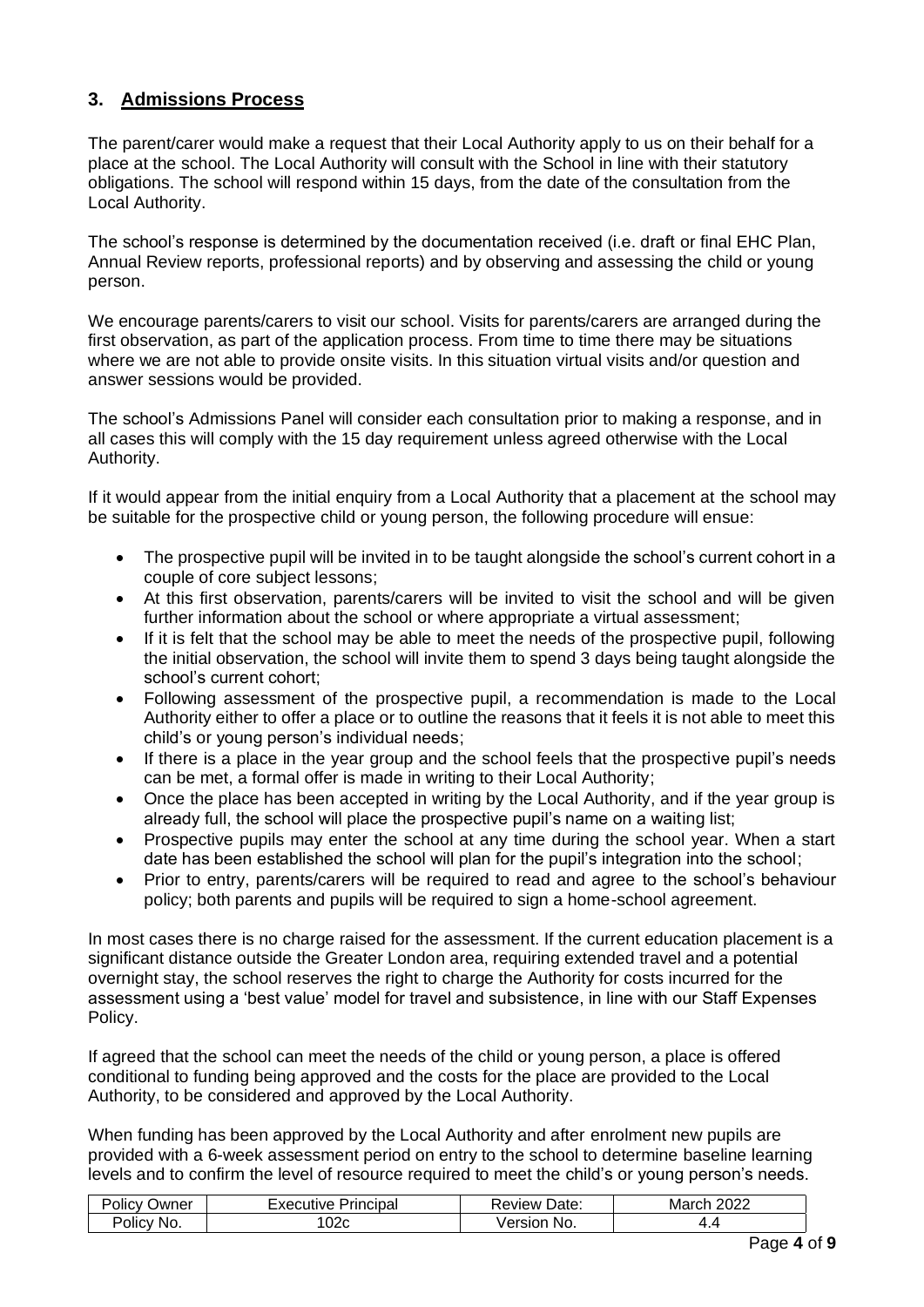## <span id="page-3-0"></span>**3. Admissions Process**

The parent/carer would make a request that their Local Authority apply to us on their behalf for a place at the school. The Local Authority will consult with the School in line with their statutory obligations. The school will respond within 15 days, from the date of the consultation from the Local Authority.

The school's response is determined by the documentation received (i.e. draft or final EHC Plan, Annual Review reports, professional reports) and by observing and assessing the child or young person.

We encourage parents/carers to visit our school. Visits for parents/carers are arranged during the first observation, as part of the application process. From time to time there may be situations where we are not able to provide onsite visits. In this situation virtual visits and/or question and answer sessions would be provided.

The school's Admissions Panel will consider each consultation prior to making a response, and in all cases this will comply with the 15 day requirement unless agreed otherwise with the Local Authority.

If it would appear from the initial enquiry from a Local Authority that a placement at the school may be suitable for the prospective child or young person, the following procedure will ensue:

- The prospective pupil will be invited in to be taught alongside the school's current cohort in a couple of core subject lessons;
- At this first observation, parents/carers will be invited to visit the school and will be given further information about the school or where appropriate a virtual assessment;
- If it is felt that the school may be able to meet the needs of the prospective pupil, following the initial observation, the school will invite them to spend 3 days being taught alongside the school's current cohort;
- Following assessment of the prospective pupil, a recommendation is made to the Local Authority either to offer a place or to outline the reasons that it feels it is not able to meet this child's or young person's individual needs;
- If there is a place in the year group and the school feels that the prospective pupil's needs can be met, a formal offer is made in writing to their Local Authority;
- Once the place has been accepted in writing by the Local Authority, and if the year group is already full, the school will place the prospective pupil's name on a waiting list;
- Prospective pupils may enter the school at any time during the school year. When a start date has been established the school will plan for the pupil's integration into the school;
- Prior to entry, parents/carers will be required to read and agree to the school's behaviour policy; both parents and pupils will be required to sign a home-school agreement.

In most cases there is no charge raised for the assessment. If the current education placement is a significant distance outside the Greater London area, requiring extended travel and a potential overnight stay, the school reserves the right to charge the Authority for costs incurred for the assessment using a 'best value' model for travel and subsistence, in line with our Staff Expenses Policy.

If agreed that the school can meet the needs of the child or young person, a place is offered conditional to funding being approved and the costs for the place are provided to the Local Authority, to be considered and approved by the Local Authority.

When funding has been approved by the Local Authority and after enrolment new pupils are provided with a 6-week assessment period on entry to the school to determine baseline learning levels and to confirm the level of resource required to meet the child's or young person's needs.

| . .<br>Jwner<br>Olicy | Principal<br>-xecutive | -<br>Date:<br>kevlew | 0000<br><b><i><u>Property</u></i></b><br>March<br>' ∠V∠∠ |
|-----------------------|------------------------|----------------------|----------------------------------------------------------|
| Policy<br>No.         | 02c                    | ersion<br>No.        | . .<br>-<br>.                                            |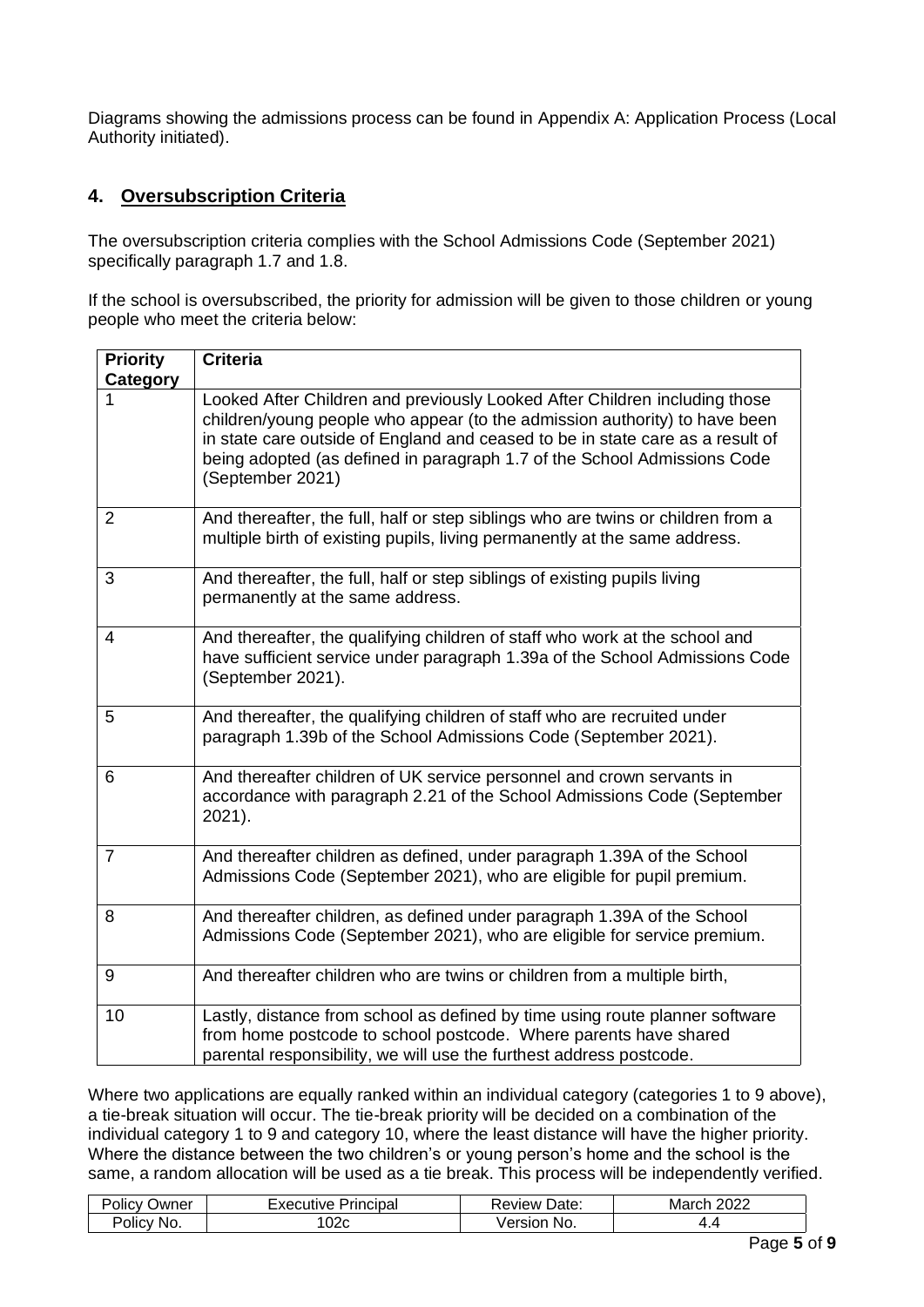Diagrams showing the admissions process can be found in Appendix A: Application Process (Local Authority initiated).

# <span id="page-4-0"></span>**4. Oversubscription Criteria**

The oversubscription criteria complies with the School Admissions Code (September 2021) specifically paragraph 1.7 and 1.8.

If the school is oversubscribed, the priority for admission will be given to those children or young people who meet the criteria below:

| <b>Priority</b> | <b>Criteria</b>                                                                                                                                                                                                                                                                                                                            |
|-----------------|--------------------------------------------------------------------------------------------------------------------------------------------------------------------------------------------------------------------------------------------------------------------------------------------------------------------------------------------|
| Category        | Looked After Children and previously Looked After Children including those<br>children/young people who appear (to the admission authority) to have been<br>in state care outside of England and ceased to be in state care as a result of<br>being adopted (as defined in paragraph 1.7 of the School Admissions Code<br>(September 2021) |
| $\overline{2}$  | And thereafter, the full, half or step siblings who are twins or children from a<br>multiple birth of existing pupils, living permanently at the same address.                                                                                                                                                                             |
| 3               | And thereafter, the full, half or step siblings of existing pupils living<br>permanently at the same address.                                                                                                                                                                                                                              |
| $\overline{4}$  | And thereafter, the qualifying children of staff who work at the school and<br>have sufficient service under paragraph 1.39a of the School Admissions Code<br>(September 2021).                                                                                                                                                            |
| 5               | And thereafter, the qualifying children of staff who are recruited under<br>paragraph 1.39b of the School Admissions Code (September 2021).                                                                                                                                                                                                |
| 6               | And thereafter children of UK service personnel and crown servants in<br>accordance with paragraph 2.21 of the School Admissions Code (September<br>2021).                                                                                                                                                                                 |
| $\overline{7}$  | And thereafter children as defined, under paragraph 1.39A of the School<br>Admissions Code (September 2021), who are eligible for pupil premium.                                                                                                                                                                                           |
| 8               | And thereafter children, as defined under paragraph 1.39A of the School<br>Admissions Code (September 2021), who are eligible for service premium.                                                                                                                                                                                         |
| 9               | And thereafter children who are twins or children from a multiple birth,                                                                                                                                                                                                                                                                   |
| 10              | Lastly, distance from school as defined by time using route planner software<br>from home postcode to school postcode. Where parents have shared<br>parental responsibility, we will use the furthest address postcode.                                                                                                                    |

Where two applications are equally ranked within an individual category (categories 1 to 9 above), a tie-break situation will occur. The tie-break priority will be decided on a combination of the individual category 1 to 9 and category 10, where the least distance will have the higher priority. Where the distance between the two children's or young person's home and the school is the same, a random allocation will be used as a tie break. This process will be independently verified.

| -<br>Jwner<br>'olic | <i>Principal</i><br>∵xecutive<br>三八二 | Date:<br>kevlew | nnnn<br>March<br><b>LULL</b> |
|---------------------|--------------------------------------|-----------------|------------------------------|
| -<br>olic\<br>No.   | ຳາລ<br>∪∠∪                           | Version<br>No.  | ∸<br>. .                     |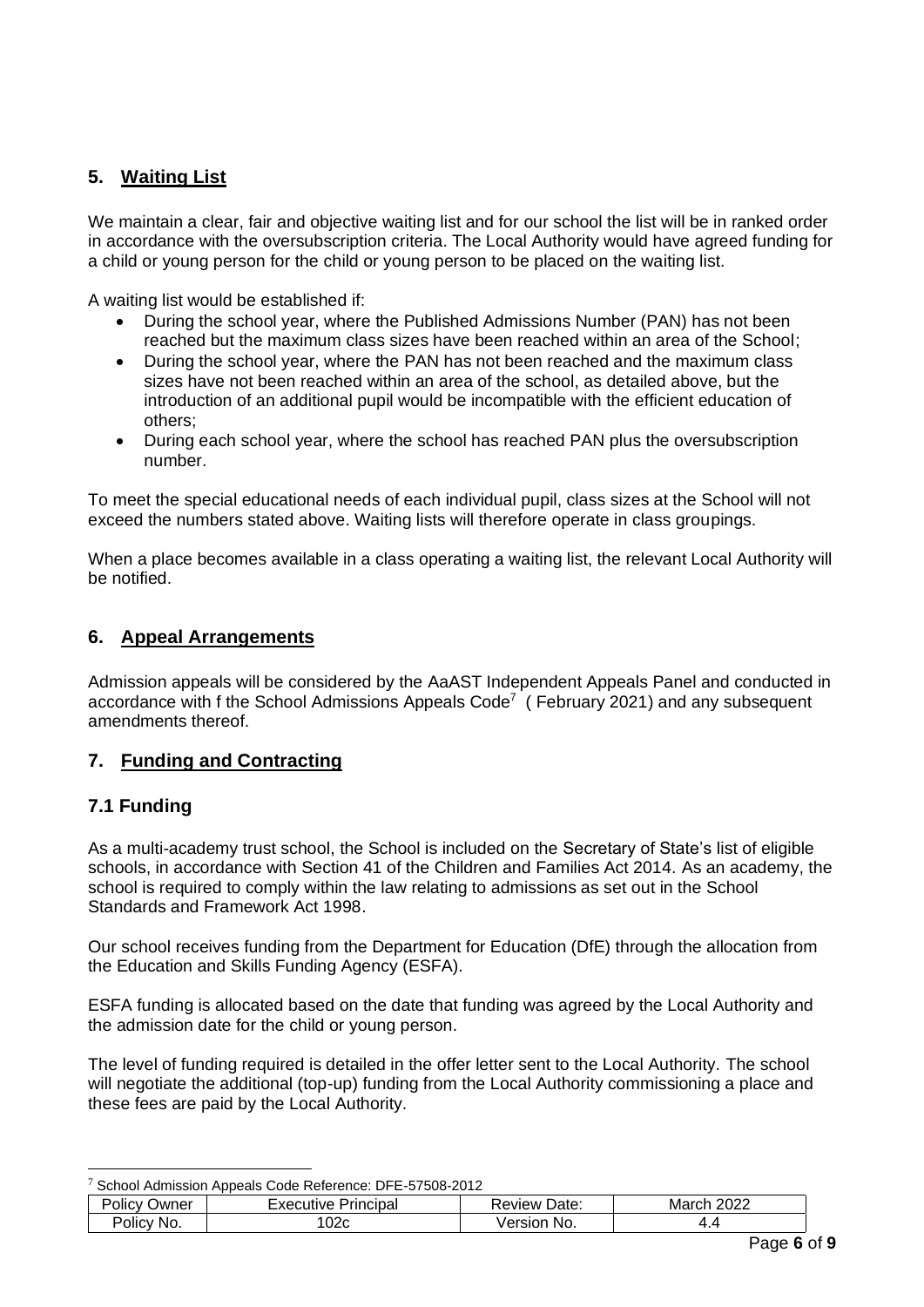## <span id="page-5-0"></span>**5. Waiting List**

We maintain a clear, fair and objective waiting list and for our school the list will be in ranked order in accordance with the oversubscription criteria. The Local Authority would have agreed funding for a child or young person for the child or young person to be placed on the waiting list.

A waiting list would be established if:

- During the school year, where the Published Admissions Number (PAN) has not been reached but the maximum class sizes have been reached within an area of the School;
- During the school year, where the PAN has not been reached and the maximum class sizes have not been reached within an area of the school, as detailed above, but the introduction of an additional pupil would be incompatible with the efficient education of others;
- During each school year, where the school has reached PAN plus the oversubscription number.

To meet the special educational needs of each individual pupil, class sizes at the School will not exceed the numbers stated above. Waiting lists will therefore operate in class groupings.

When a place becomes available in a class operating a waiting list, the relevant Local Authority will be notified.

## <span id="page-5-1"></span>**6. Appeal Arrangements**

Admission appeals will be considered by the AaAST Independent Appeals Panel and conducted in accordance with f the School Admissions Appeals Code<sup>7</sup> (February 2021) and any subsequent amendments thereof.

## <span id="page-5-2"></span>**7. Funding and Contracting**

## <span id="page-5-3"></span>**7.1 Funding**

As a multi-academy trust school, the School is included on the Secretary of State's list of eligible schools, in accordance with Section 41 of the Children and Families Act 2014. As an academy, the school is required to comply within the law relating to admissions as set out in the School Standards and Framework Act 1998.

Our school receives funding from the Department for Education (DfE) through the allocation from the Education and Skills Funding Agency (ESFA).

ESFA funding is allocated based on the date that funding was agreed by the Local Authority and the admission date for the child or young person.

The level of funding required is detailed in the offer letter sent to the Local Authority. The school will negotiate the additional (top-up) funding from the Local Authority commissioning a place and these fees are paid by the Local Authority.

<sup>7</sup> School Admission Appeals Code Reference: DFE-57508-2012

| שwner<br>'Olicv | Principal<br>Executive | Date:<br>∴eview. | 2022<br>March |  |
|-----------------|------------------------|------------------|---------------|--|
| 'Olicy<br>No.   | 02c                    | ersion<br>No.    | 4.5           |  |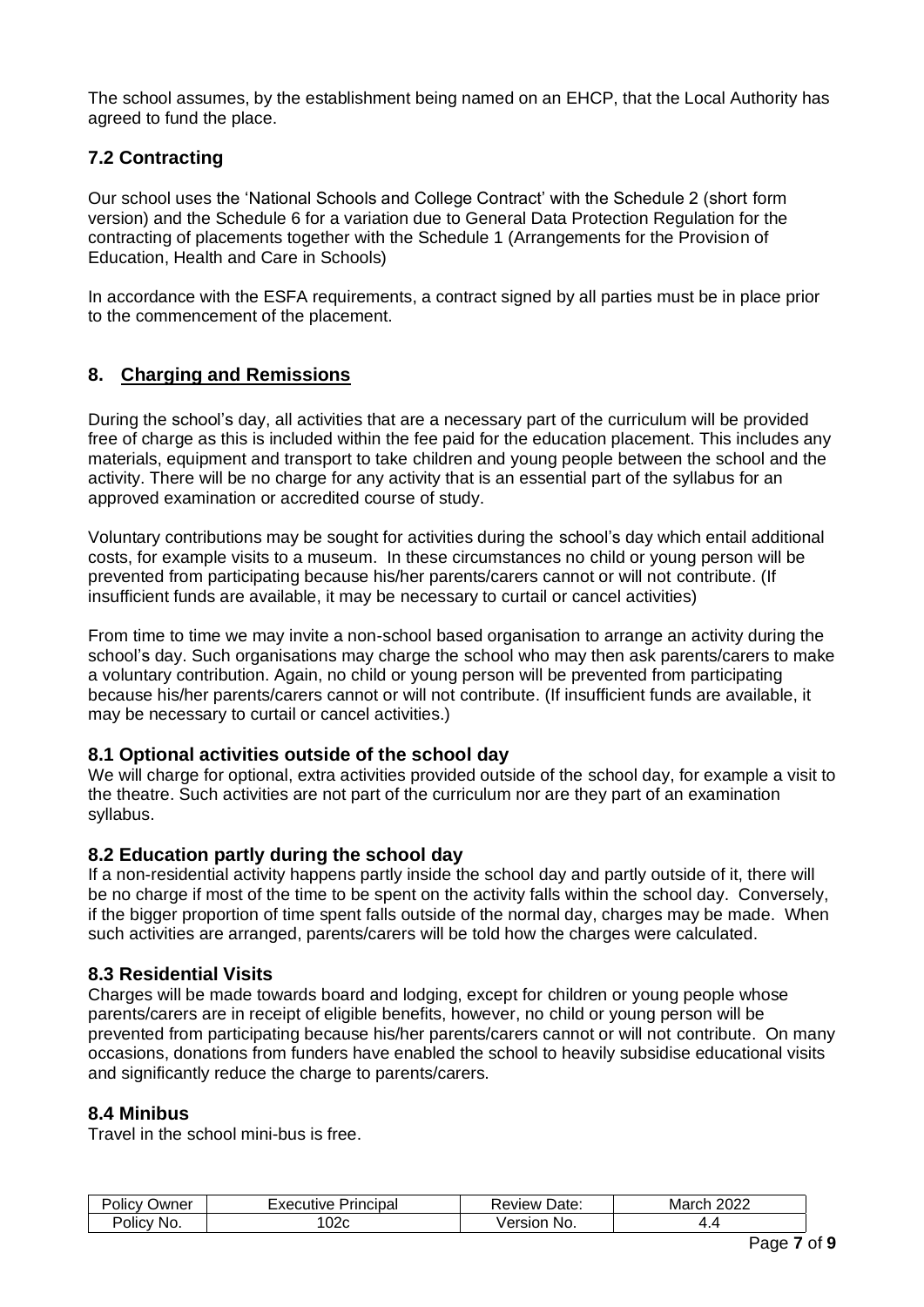The school assumes, by the establishment being named on an EHCP, that the Local Authority has agreed to fund the place.

## <span id="page-6-0"></span>**7.2 Contracting**

Our school uses the 'National Schools and College Contract' with the Schedule 2 (short form version) and the Schedule 6 for a variation due to General Data Protection Regulation for the contracting of placements together with the Schedule 1 (Arrangements for the Provision of Education, Health and Care in Schools)

In accordance with the ESFA requirements, a contract signed by all parties must be in place prior to the commencement of the placement.

## <span id="page-6-1"></span>**8. Charging and Remissions**

During the school's day, all activities that are a necessary part of the curriculum will be provided free of charge as this is included within the fee paid for the education placement. This includes any materials, equipment and transport to take children and young people between the school and the activity. There will be no charge for any activity that is an essential part of the syllabus for an approved examination or accredited course of study.

Voluntary contributions may be sought for activities during the school's day which entail additional costs, for example visits to a museum. In these circumstances no child or young person will be prevented from participating because his/her parents/carers cannot or will not contribute. (If insufficient funds are available, it may be necessary to curtail or cancel activities)

From time to time we may invite a non-school based organisation to arrange an activity during the school's day. Such organisations may charge the school who may then ask parents/carers to make a voluntary contribution. Again, no child or young person will be prevented from participating because his/her parents/carers cannot or will not contribute. (If insufficient funds are available, it may be necessary to curtail or cancel activities.)

## <span id="page-6-2"></span>**8.1 Optional activities outside of the school day**

We will charge for optional, extra activities provided outside of the school day, for example a visit to the theatre. Such activities are not part of the curriculum nor are they part of an examination syllabus.

## <span id="page-6-3"></span>**8.2 Education partly during the school day**

If a non-residential activity happens partly inside the school day and partly outside of it, there will be no charge if most of the time to be spent on the activity falls within the school day. Conversely, if the bigger proportion of time spent falls outside of the normal day, charges may be made. When such activities are arranged, parents/carers will be told how the charges were calculated.

## <span id="page-6-4"></span>**8.3 Residential Visits**

Charges will be made towards board and lodging, except for children or young people whose parents/carers are in receipt of eligible benefits, however, no child or young person will be prevented from participating because his/her parents/carers cannot or will not contribute. On many occasions, donations from funders have enabled the school to heavily subsidise educational visits and significantly reduce the charge to parents/carers.

#### <span id="page-6-5"></span>**8.4 Minibus**

Travel in the school mini-bus is free.

| . .<br>Jwner<br>$\sim$<br>JIIC. | rincipal<br>-YACLITIVA<br>$\cdots$ | Date:<br>eview: | nnnn<br>ıvıaı<br>UZZ |
|---------------------------------|------------------------------------|-----------------|----------------------|
| <b>No</b><br>Olic'              | ◡∠◡                                | /ersior<br>No.  | т. -                 |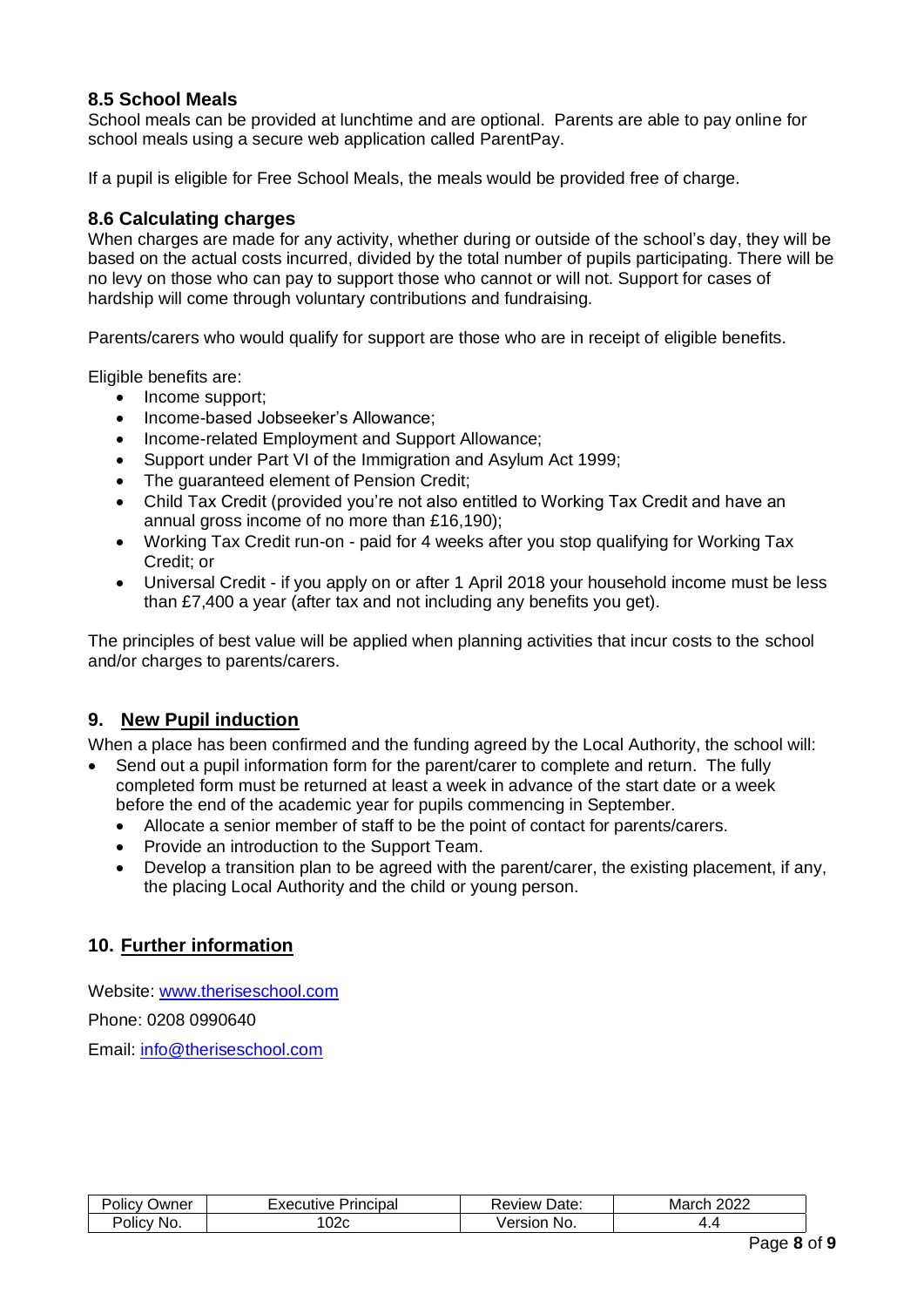## <span id="page-7-0"></span>**8.5 School Meals**

School meals can be provided at lunchtime and are optional. Parents are able to pay online for school meals using a secure web application called ParentPay.

If a pupil is eligible for Free School Meals, the meals would be provided free of charge.

#### <span id="page-7-1"></span>**8.6 Calculating charges**

When charges are made for any activity, whether during or outside of the school's day, they will be based on the actual costs incurred, divided by the total number of pupils participating. There will be no levy on those who can pay to support those who cannot or will not. Support for cases of hardship will come through voluntary contributions and fundraising.

Parents/carers who would qualify for support are those who are in receipt of eligible benefits.

Eligible benefits are:

- Income support;
- Income-based Jobseeker's Allowance;
- Income-related Employment and Support Allowance:
- Support under Part VI of the Immigration and Asylum Act 1999;
- The quaranteed element of Pension Credit:
- Child Tax Credit (provided you're not also entitled to Working Tax Credit and have an annual gross income of no more than £16,190);
- Working Tax Credit run-on paid for 4 weeks after you stop qualifying for Working Tax Credit; or
- Universal Credit if you apply on or after 1 April 2018 your household income must be less than £7,400 a year (after tax and not including any benefits you get).

The principles of best value will be applied when planning activities that incur costs to the school and/or charges to parents/carers.

## <span id="page-7-2"></span>**9. New Pupil induction**

When a place has been confirmed and the funding agreed by the Local Authority, the school will:

- Send out a pupil information form for the parent/carer to complete and return. The fully completed form must be returned at least a week in advance of the start date or a week before the end of the academic year for pupils commencing in September.
	- Allocate a senior member of staff to be the point of contact for parents/carers.
	- Provide an introduction to the Support Team.
	- Develop a transition plan to be agreed with the parent/carer, the existing placement, if any, the placing Local Authority and the child or young person.

## <span id="page-7-3"></span>**10. Further information**

Website: [www.theriseschool.com](http://www.theriseschool.com/)

Phone: 0208 0990640

Email: [info@theriseschool.com](mailto:info@theriseschool.com)

| Jwner<br>JIIC<br>$\mathbf{u}$ | J''<br>'Giba.<br>IV⊢ | Date:<br>…eview∵ | nnnn<br>ıvıaı<br>LULL |
|-------------------------------|----------------------|------------------|-----------------------|
| OIIC'<br>NG.                  | $\sim$<br>,,<br>UZC  | ---<br>NO.<br>л  | _<br>т.-              |